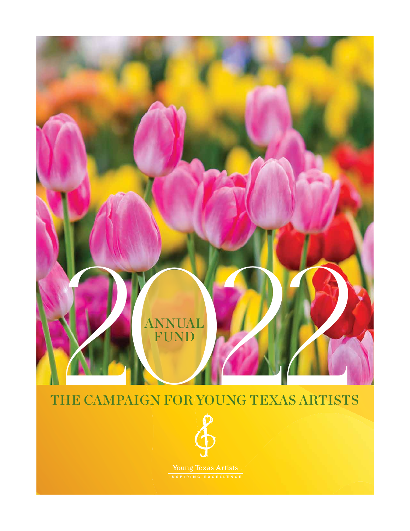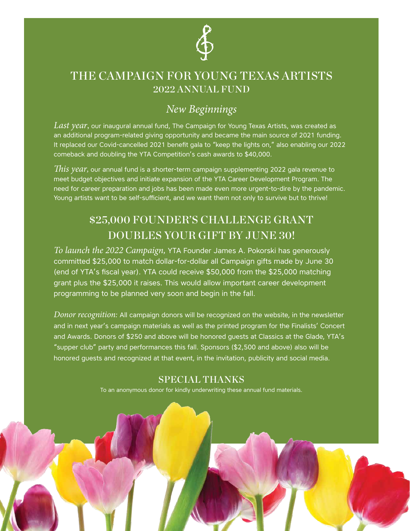

## THE CAMPAIGN FOR YOUNG TEXAS ARTISTS 2022 ANNUAL FUND

# *New Beginnings*

*Last year*, our inaugural annual fund, The Campaign for Young Texas Artists, was created as an additional program-related giving opportunity and became the main source of 2021 funding. It replaced our Covid-cancelled 2021 benefit gala to "keep the lights on," also enabling our 2022 comeback and doubling the YTA Competition's cash awards to \$40,000.

*This year,* our annual fund is a shorter-term campaign supplementing 2022 gala revenue to meet budget objectives and initiate expansion of the YTA Career Development Program. The need for career preparation and jobs has been made even more urgent-to-dire by the pandemic. Young artists want to be self-sufficient, and we want them not only to survive but to thrive!

# \$25,000 FOUNDER'S CHALLENGE GRANT DOUBLES YOUR GIFT BY JUNE 30!

*To launch the 2022 Campaign,* YTA Founder James A. Pokorski has generously committed \$25,000 to match dollar-for-dollar all Campaign gifts made by June 30 (end of YTA's fiscal year). YTA could receive \$50,000 from the \$25,000 matching grant plus the \$25,000 it raises. This would allow important career development programming to be planned very soon and begin in the fall.

*Donor recognition:* All campaign donors will be recognized on the website, in the newsletter and in next year's campaign materials as well as the printed program for the Finalists' Concert and Awards. Donors of \$250 and above will be honored guests at Classics at the Glade, YTA's "supper club" party and performances this fall. Sponsors (\$2,500 and above) also will be honored guests and recognized at that event, in the invitation, publicity and social media.

### SPECIAL THANKS

To an anonymous donor for kindly underwriting these annual fund materials.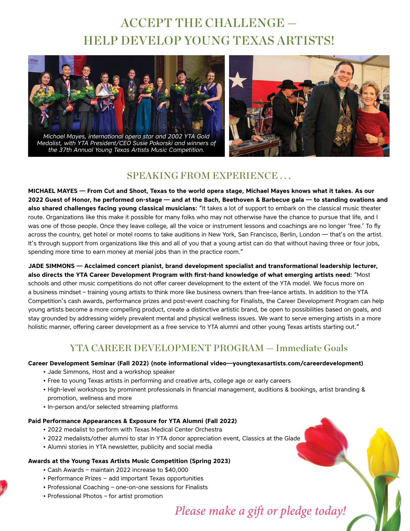# ACCEPT THE CHALLENGE — HELP DEVELOP YOUNG TEXAS ARTISTS!



*Michael Mayes, international opera star and 2002 YTA Gold Medalist, with YTA President/CEO Susie Pokorski and winners of the 37th Annual Young Texas Artists Music Competition.*



### SPEAKING FROM EXPERIENCE . . .

**MICHAEL MAYES — From Cut and Shoot, Texas to the world opera stage, Michael Mayes knows what it takes. As our 2022 Guest of Honor, he performed on-stage — and at the Bach, Beethoven & Barbecue gala — to standing ovations and also shared challenges facing young classical musicians:** "It takes a lot of support to embark on the classical music theater route. Organizations like this make it possible for many folks who may not otherwise have the chance to pursue that life, and I was one of those people. Once they leave college, all the voice or instrument lessons and coachings are no longer 'free.' To fly across the country, get hotel or motel rooms to take auditions in New York, San Francisco, Berlin, London — that's on the artist. It's through support from organizations like this and all of you that a young artist can do that without having three or four jobs, spending more time to earn money at menial jobs than in the practice room."

**JADE SIMMONS — Acclaimed concert pianist, brand development specialist and transformational leadership lecturer, also directs the YTA Career Development Program with first-hand knowledge of what emerging artists need:** "Most schools and other music competitions do not offer career development to the extent of the YTA model. We focus more on a business mindset – training young artists to think more like business owners than free-lance artists. In addition to the YTA Competition's cash awards, performance prizes and post-event coaching for Finalists, the Career Development Program can help young artists become a more compelling product, create a distinctive artistic brand, be open to possibilities based on goals, and stay grounded by addressing widely prevalent mental and physical wellness issues. We want to serve emerging artists in a more holistic manner, offering career development as a free service to YTA alumni and other young Texas artists starting out."

### YTA CAREER DEVELOPMENT PROGRAM — Immediate Goals

#### **Career Development Seminar (Fall 2022) (note informational video—youngtexasartists.com/careerdevelopment)**

- Jade Simmons, Host and a workshop speaker
- Free to young Texas artists in performing and creative arts, college age or early careers
- High-level workshops by prominent professionals in financial management, auditions & bookings, artist branding & promotion, wellness and more
- In-person and/or selected streaming platforms

#### **Paid Performance Appearances & Exposure for YTA Alumni (Fall 2022)**

- 2022 medalist to perform with Texas Medical Center Orchestra
- 2022 medalists/other alumni to star in YTA donor appreciation event, Classics at the Glade
- Alumni stories in YTA newsletter, publicity and social media

#### **Awards at the Young Texas Artists Music Competition (Spring 2023)**

- Cash Awards maintain 2022 increase to \$40,000
- Performance Prizes − add important Texas opportunities
- Professional Coaching one-on-one sessions for Finalists
- Professional Photos for artist promotion

# *Please make a gift or pledge today!*